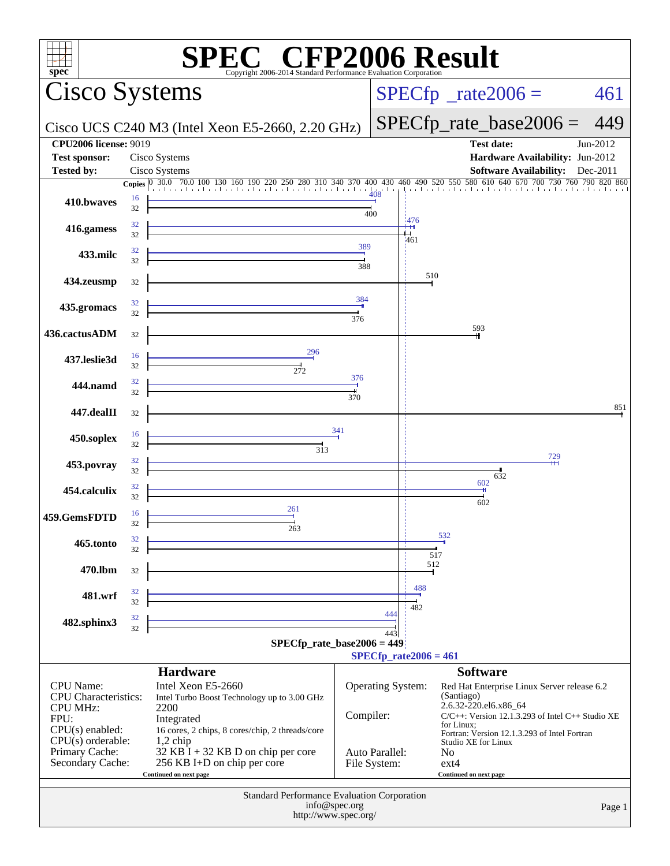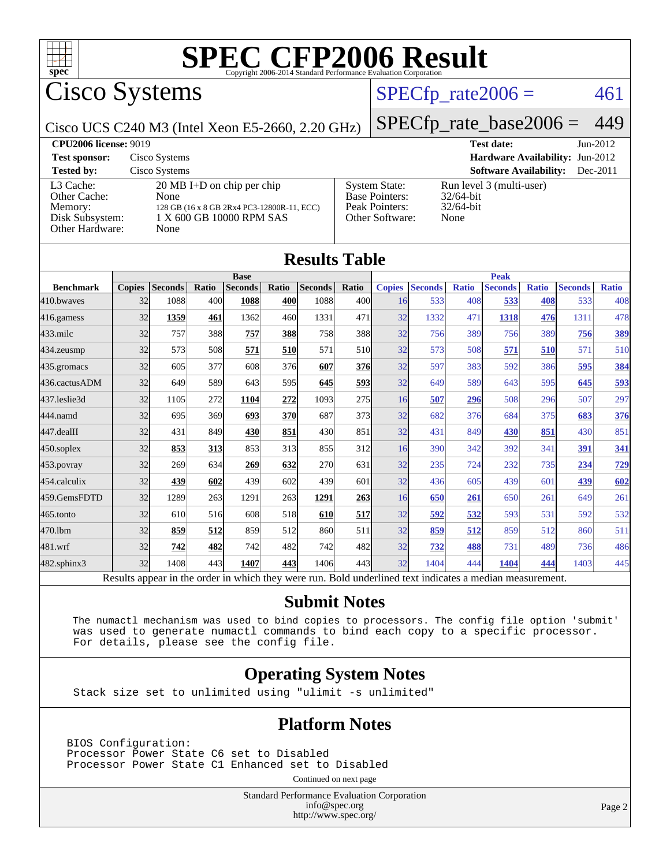

Cisco Systems

### $SPECTp_rate2006 = 461$

Cisco UCS C240 M3 (Intel Xeon E5-2660, 2.20 GHz)

[SPECfp\\_rate\\_base2006 =](http://www.spec.org/auto/cpu2006/Docs/result-fields.html#SPECfpratebase2006) 449

| <b>CPU2006 license: 9019</b>                                               |                                                                                                                                |                                                                                    | <b>Test date:</b>                                                | $Jun-2012$ |
|----------------------------------------------------------------------------|--------------------------------------------------------------------------------------------------------------------------------|------------------------------------------------------------------------------------|------------------------------------------------------------------|------------|
| <b>Test sponsor:</b>                                                       | Cisco Systems                                                                                                                  |                                                                                    | Hardware Availability: Jun-2012                                  |            |
| <b>Tested by:</b>                                                          | Cisco Systems                                                                                                                  |                                                                                    | <b>Software Availability:</b>                                    | $Dec-2011$ |
| L3 Cache:<br>Other Cache:<br>Memory:<br>Disk Subsystem:<br>Other Hardware: | $20 \text{ MB I+D}$ on chip per chip<br>None<br>128 GB (16 x 8 GB 2Rx4 PC3-12800R-11, ECC)<br>1 X 600 GB 10000 RPM SAS<br>None | <b>System State:</b><br><b>Base Pointers:</b><br>Peak Pointers:<br>Other Software: | Run level 3 (multi-user)<br>$32/64$ -bit<br>$32/64$ -bit<br>None |            |

| <b>Results Table</b>                                                                                     |               |                |       |                |       |                |                 |               |                |              |                |              |                |              |
|----------------------------------------------------------------------------------------------------------|---------------|----------------|-------|----------------|-------|----------------|-----------------|---------------|----------------|--------------|----------------|--------------|----------------|--------------|
|                                                                                                          | <b>Base</b>   |                |       | <b>Peak</b>    |       |                |                 |               |                |              |                |              |                |              |
| <b>Benchmark</b>                                                                                         | <b>Copies</b> | <b>Seconds</b> | Ratio | <b>Seconds</b> | Ratio | <b>Seconds</b> | Ratio           | <b>Copies</b> | <b>Seconds</b> | <b>Ratio</b> | <b>Seconds</b> | <b>Ratio</b> | <b>Seconds</b> | <b>Ratio</b> |
| 410.bwayes                                                                                               | 32            | 1088           | 400l  | 1088           | 400   | 1088           | 400l            | 16            | 533            | 408          | 533            | 408          | 533            | 408          |
| 416.gamess                                                                                               | 32            | 1359           | 461   | 1362           | 460   | 1331           | 471             | 32            | 1332           | 471          | 1318           | 476          | 1311           | 478          |
| $433$ .milc                                                                                              | 32            | 757            | 388   | 757            | 388   | 758            | 388             | 32            | 756            | 389          | 756            | 389          | 756            | <b>389</b>   |
| 434.zeusmp                                                                                               | 32            | 573            | 508   | 571            | 510   | 571            | 51 <sub>0</sub> | 32            | 573            | 508          | 571            | 510          | 571            | 510          |
| 435.gromacs                                                                                              | 32            | 605            | 377   | 608            | 376   | 607            | 376             | 32            | 597            | 383          | 592            | 386          | 595            | 384          |
| 436.cactusADM                                                                                            | 32            | 649            | 589   | 643            | 595   | 645            | 5931            | 32            | 649            | 589          | 643            | 595          | 645            | 593          |
| 437.leslie3d                                                                                             | 32            | 1105           | 272   | 1104           | 272   | 1093           | 275             | 16            | 507            | 296          | 508            | 296          | 507            | 297          |
| 444.namd                                                                                                 | 32            | 695            | 369   | 693            | 370   | 687            | 373             | 32            | 682            | 376          | 684            | 375          | 683            | 376          |
| 447.dealII                                                                                               | 32            | 431            | 849   | 430            | 851   | 430            | 851             | 32            | 431            | 849          | 430            | 851          | 430            | 851          |
| $450$ .soplex                                                                                            | 32            | 853            | 313   | 853            | 313   | 855            | 312l            | 16            | 390            | 342          | 392            | 341          | 391            | 341          |
| 453.povray                                                                                               | 32            | 269            | 634   | 269            | 632   | 270            | 631             | 32            | 235            | 724          | 232            | 735          | 234            | 729          |
| 454.calculix                                                                                             | 32            | 439            | 602   | 439            | 602   | 439            | 601             | 32            | 436            | 605          | 439            | 601          | 439            | 602          |
| 459.GemsFDTD                                                                                             | 32            | 1289           | 263   | 1291           | 263   | 1291           | 263             | 16            | 650            | 261          | 650            | 261          | 649            | 261          |
| $465$ .tonto                                                                                             | 32            | 610            | 516   | 608            | 518   | 610            | <u>517</u>      | 32            | 592            | 532          | 593            | 531          | 592            | 532          |
| 470.1bm                                                                                                  | 32            | 859            | 512   | 859            | 512   | 860            | 511             | 32            | 859            | 512          | 859            | 512          | 860            | 511          |
| 481.wrf                                                                                                  | 32            | 742            | 482   | 742            | 482   | 742            | 482             | 32            | 732            | 488          | 731            | 489          | 736            | 486          |
| $482$ .sphinx $3$                                                                                        | 32            | 1408           | 443   | 1407           | 443   | 1406           | 443             | 32            | 1404           | 444          | 1404           | 444          | 1403           | 445          |
| Results appear in the order in which they were run. Bold underlined text indicates a median measurement. |               |                |       |                |       |                |                 |               |                |              |                |              |                |              |

#### **[Submit Notes](http://www.spec.org/auto/cpu2006/Docs/result-fields.html#SubmitNotes)**

 The numactl mechanism was used to bind copies to processors. The config file option 'submit' was used to generate numactl commands to bind each copy to a specific processor. For details, please see the config file.

#### **[Operating System Notes](http://www.spec.org/auto/cpu2006/Docs/result-fields.html#OperatingSystemNotes)**

Stack size set to unlimited using "ulimit -s unlimited"

#### **[Platform Notes](http://www.spec.org/auto/cpu2006/Docs/result-fields.html#PlatformNotes)**

BIOS Configuration: Processor Power State C6 set to Disabled Processor Power State C1 Enhanced set to Disabled

Continued on next page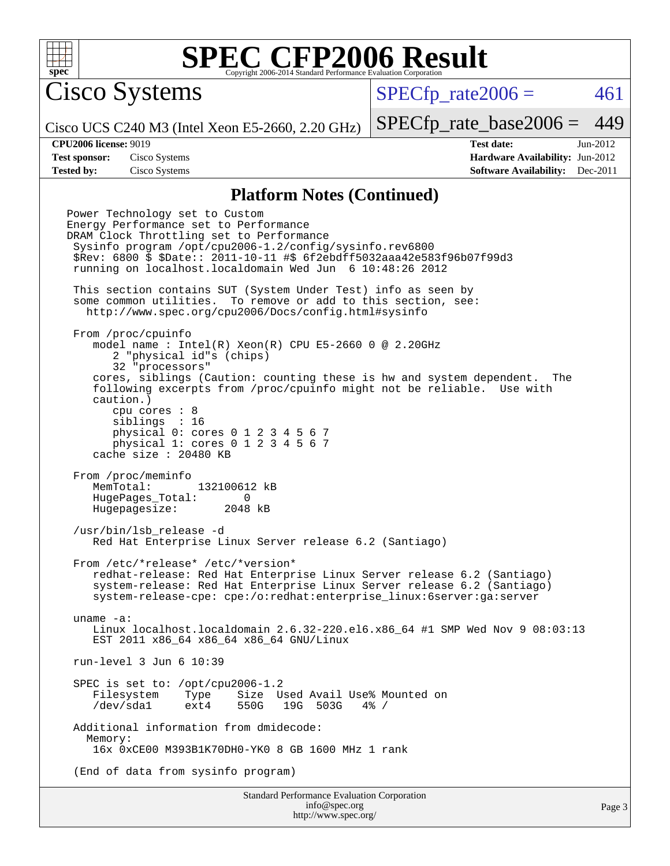

Cisco Systems

 $SPECTp\_rate2006 = 461$ 

Cisco UCS C240 M3 (Intel Xeon E5-2660, 2.20 GHz)

[SPECfp\\_rate\\_base2006 =](http://www.spec.org/auto/cpu2006/Docs/result-fields.html#SPECfpratebase2006) 449

**[CPU2006 license:](http://www.spec.org/auto/cpu2006/Docs/result-fields.html#CPU2006license)** 9019 **[Test date:](http://www.spec.org/auto/cpu2006/Docs/result-fields.html#Testdate)** Jun-2012 **[Test sponsor:](http://www.spec.org/auto/cpu2006/Docs/result-fields.html#Testsponsor)** Cisco Systems **[Hardware Availability:](http://www.spec.org/auto/cpu2006/Docs/result-fields.html#HardwareAvailability)** Jun-2012 **[Tested by:](http://www.spec.org/auto/cpu2006/Docs/result-fields.html#Testedby)** Cisco Systems **[Software Availability:](http://www.spec.org/auto/cpu2006/Docs/result-fields.html#SoftwareAvailability)** Dec-2011

#### **[Platform Notes \(Continued\)](http://www.spec.org/auto/cpu2006/Docs/result-fields.html#PlatformNotes)**

Power Technology set to Custom Energy Performance set to Performance DRAM Clock Throttling set to Performance Sysinfo program /opt/cpu2006-1.2/config/sysinfo.rev6800 \$Rev: 6800 \$ \$Date:: 2011-10-11 #\$ 6f2ebdff5032aaa42e583f96b07f99d3 running on localhost.localdomain Wed Jun 6 10:48:26 2012 This section contains SUT (System Under Test) info as seen by some common utilities. To remove or add to this section, see: <http://www.spec.org/cpu2006/Docs/config.html#sysinfo> From /proc/cpuinfo model name : Intel(R)  $Xeon(R)$  CPU E5-2660 0 @ 2.20GHz 2 "physical id"s (chips) 32 "processors" cores, siblings (Caution: counting these is hw and system dependent. The following excerpts from /proc/cpuinfo might not be reliable. Use with caution.) cpu cores : 8 siblings : 16 physical 0: cores 0 1 2 3 4 5 6 7 physical 1: cores 0 1 2 3 4 5 6 7 cache size : 20480 KB From /proc/meminfo<br>MemTotal: 132100612 kB HugePages\_Total: 0<br>Hugepagesize: 2048 kB Hugepagesize: /usr/bin/lsb\_release -d Red Hat Enterprise Linux Server release 6.2 (Santiago) From /etc/\*release\* /etc/\*version\* redhat-release: Red Hat Enterprise Linux Server release 6.2 (Santiago) system-release: Red Hat Enterprise Linux Server release 6.2 (Santiago) system-release-cpe: cpe:/o:redhat:enterprise\_linux:6server:ga:server uname -a: Linux localhost.localdomain 2.6.32-220.el6.x86\_64 #1 SMP Wed Nov 9 08:03:13 EST 2011 x86 64 x86 64 x86 64 GNU/Linux run-level 3 Jun 6 10:39 SPEC is set to: /opt/cpu2006-1.2 Filesystem Type Size Used Avail Use% Mounted on /dev/sda1 ext4 550G 19G 503G 4% / Additional information from dmidecode: Memory: 16x 0xCE00 M393B1K70DH0-YK0 8 GB 1600 MHz 1 rank (End of data from sysinfo program)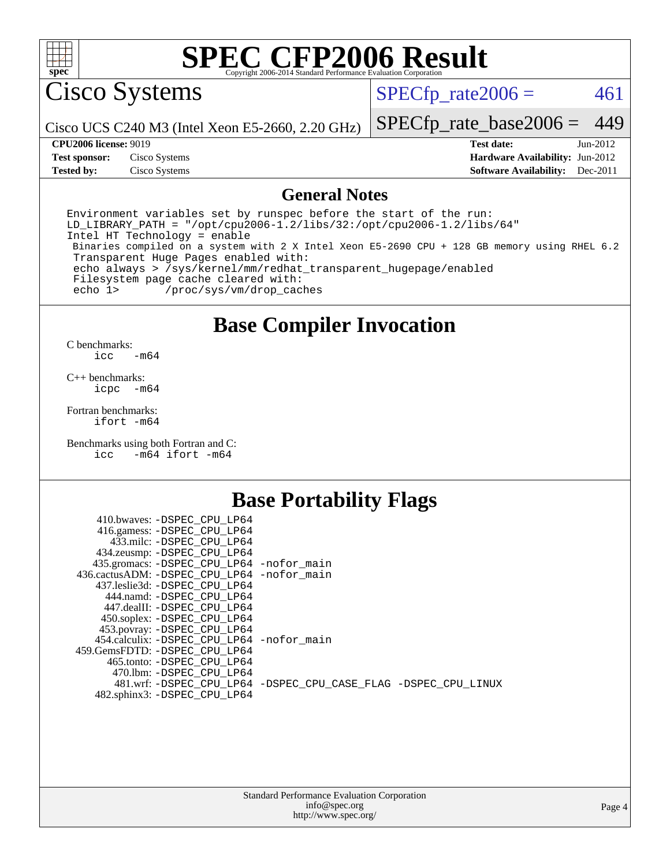

Cisco Systems

 $SPECTp_rate2006 = 461$ 

Cisco UCS C240 M3 (Intel Xeon E5-2660, 2.20 GHz)

[SPECfp\\_rate\\_base2006 =](http://www.spec.org/auto/cpu2006/Docs/result-fields.html#SPECfpratebase2006) 449

**[Tested by:](http://www.spec.org/auto/cpu2006/Docs/result-fields.html#Testedby)** Cisco Systems **[Software Availability:](http://www.spec.org/auto/cpu2006/Docs/result-fields.html#SoftwareAvailability)** Dec-2011

**[CPU2006 license:](http://www.spec.org/auto/cpu2006/Docs/result-fields.html#CPU2006license)** 9019 **[Test date:](http://www.spec.org/auto/cpu2006/Docs/result-fields.html#Testdate)** Jun-2012 **[Test sponsor:](http://www.spec.org/auto/cpu2006/Docs/result-fields.html#Testsponsor)** Cisco Systems **[Hardware Availability:](http://www.spec.org/auto/cpu2006/Docs/result-fields.html#HardwareAvailability)** Jun-2012

#### **[General Notes](http://www.spec.org/auto/cpu2006/Docs/result-fields.html#GeneralNotes)**

Environment variables set by runspec before the start of the run: LD LIBRARY PATH = "/opt/cpu2006-1.2/libs/32:/opt/cpu2006-1.2/libs/64" Intel HT Technology = enable Binaries compiled on a system with 2 X Intel Xeon E5-2690 CPU + 128 GB memory using RHEL 6.2 Transparent Huge Pages enabled with: echo always > /sys/kernel/mm/redhat\_transparent\_hugepage/enabled Filesystem page cache cleared with: echo 1> /proc/sys/vm/drop\_caches

## **[Base Compiler Invocation](http://www.spec.org/auto/cpu2006/Docs/result-fields.html#BaseCompilerInvocation)**

 $C$  benchmarks:<br>icc  $-m64$ 

[C++ benchmarks:](http://www.spec.org/auto/cpu2006/Docs/result-fields.html#CXXbenchmarks) [icpc -m64](http://www.spec.org/cpu2006/results/res2012q3/cpu2006-20120613-22876.flags.html#user_CXXbase_intel_icpc_64bit_bedb90c1146cab66620883ef4f41a67e)

[Fortran benchmarks](http://www.spec.org/auto/cpu2006/Docs/result-fields.html#Fortranbenchmarks): [ifort -m64](http://www.spec.org/cpu2006/results/res2012q3/cpu2006-20120613-22876.flags.html#user_FCbase_intel_ifort_64bit_ee9d0fb25645d0210d97eb0527dcc06e)

[Benchmarks using both Fortran and C](http://www.spec.org/auto/cpu2006/Docs/result-fields.html#BenchmarksusingbothFortranandC): [icc -m64](http://www.spec.org/cpu2006/results/res2012q3/cpu2006-20120613-22876.flags.html#user_CC_FCbase_intel_icc_64bit_0b7121f5ab7cfabee23d88897260401c) [ifort -m64](http://www.spec.org/cpu2006/results/res2012q3/cpu2006-20120613-22876.flags.html#user_CC_FCbase_intel_ifort_64bit_ee9d0fb25645d0210d97eb0527dcc06e)

## **[Base Portability Flags](http://www.spec.org/auto/cpu2006/Docs/result-fields.html#BasePortabilityFlags)**

| 410.bwaves: -DSPEC CPU LP64                 |                                                                |
|---------------------------------------------|----------------------------------------------------------------|
| 416.gamess: -DSPEC_CPU_LP64                 |                                                                |
| 433.milc: -DSPEC CPU LP64                   |                                                                |
| 434.zeusmp: - DSPEC_CPU_LP64                |                                                                |
| 435.gromacs: -DSPEC_CPU_LP64 -nofor_main    |                                                                |
| 436.cactusADM: -DSPEC CPU LP64 -nofor main  |                                                                |
| 437.leslie3d: -DSPEC CPU LP64               |                                                                |
| 444.namd: -DSPEC CPU LP64                   |                                                                |
| 447.dealII: -DSPEC_CPU LP64                 |                                                                |
| 450.soplex: -DSPEC_CPU_LP64                 |                                                                |
| 453.povray: -DSPEC_CPU_LP64                 |                                                                |
| 454.calculix: - DSPEC CPU LP64 - nofor main |                                                                |
| 459. GemsFDTD: - DSPEC CPU LP64             |                                                                |
| 465.tonto: - DSPEC CPU LP64                 |                                                                |
| 470.1bm: - DSPEC_CPU LP64                   |                                                                |
|                                             | 481.wrf: -DSPEC CPU_LP64 -DSPEC_CPU_CASE_FLAG -DSPEC_CPU_LINUX |
| 482.sphinx3: -DSPEC_CPU_LP64                |                                                                |
|                                             |                                                                |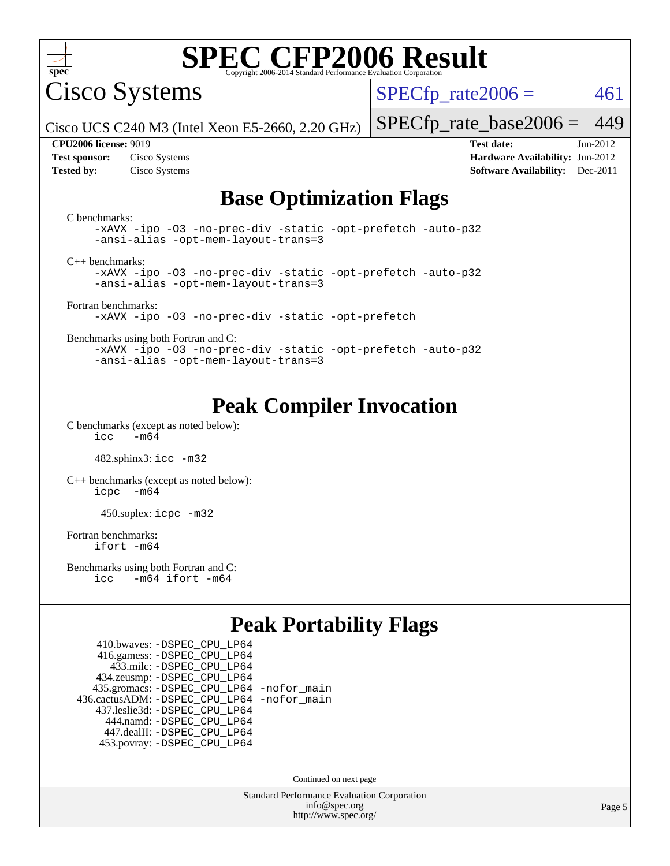

Cisco Systems

 $SPECTp\_rate2006 = 461$ 

Cisco UCS C240 M3 (Intel Xeon E5-2660, 2.20 GHz)

[SPECfp\\_rate\\_base2006 =](http://www.spec.org/auto/cpu2006/Docs/result-fields.html#SPECfpratebase2006) 449

**[CPU2006 license:](http://www.spec.org/auto/cpu2006/Docs/result-fields.html#CPU2006license)** 9019 **[Test date:](http://www.spec.org/auto/cpu2006/Docs/result-fields.html#Testdate)** Jun-2012 **[Test sponsor:](http://www.spec.org/auto/cpu2006/Docs/result-fields.html#Testsponsor)** Cisco Systems **[Hardware Availability:](http://www.spec.org/auto/cpu2006/Docs/result-fields.html#HardwareAvailability)** Jun-2012 **[Tested by:](http://www.spec.org/auto/cpu2006/Docs/result-fields.html#Testedby)** Cisco Systems **[Software Availability:](http://www.spec.org/auto/cpu2006/Docs/result-fields.html#SoftwareAvailability)** Dec-2011

## **[Base Optimization Flags](http://www.spec.org/auto/cpu2006/Docs/result-fields.html#BaseOptimizationFlags)**

[C benchmarks](http://www.spec.org/auto/cpu2006/Docs/result-fields.html#Cbenchmarks): [-xAVX](http://www.spec.org/cpu2006/results/res2012q3/cpu2006-20120613-22876.flags.html#user_CCbase_f-xAVX) [-ipo](http://www.spec.org/cpu2006/results/res2012q3/cpu2006-20120613-22876.flags.html#user_CCbase_f-ipo) [-O3](http://www.spec.org/cpu2006/results/res2012q3/cpu2006-20120613-22876.flags.html#user_CCbase_f-O3) [-no-prec-div](http://www.spec.org/cpu2006/results/res2012q3/cpu2006-20120613-22876.flags.html#user_CCbase_f-no-prec-div) [-static](http://www.spec.org/cpu2006/results/res2012q3/cpu2006-20120613-22876.flags.html#user_CCbase_f-static) [-opt-prefetch](http://www.spec.org/cpu2006/results/res2012q3/cpu2006-20120613-22876.flags.html#user_CCbase_f-opt-prefetch) [-auto-p32](http://www.spec.org/cpu2006/results/res2012q3/cpu2006-20120613-22876.flags.html#user_CCbase_f-auto-p32) [-ansi-alias](http://www.spec.org/cpu2006/results/res2012q3/cpu2006-20120613-22876.flags.html#user_CCbase_f-ansi-alias) [-opt-mem-layout-trans=3](http://www.spec.org/cpu2006/results/res2012q3/cpu2006-20120613-22876.flags.html#user_CCbase_f-opt-mem-layout-trans_a7b82ad4bd7abf52556d4961a2ae94d5) [C++ benchmarks:](http://www.spec.org/auto/cpu2006/Docs/result-fields.html#CXXbenchmarks) [-xAVX](http://www.spec.org/cpu2006/results/res2012q3/cpu2006-20120613-22876.flags.html#user_CXXbase_f-xAVX) [-ipo](http://www.spec.org/cpu2006/results/res2012q3/cpu2006-20120613-22876.flags.html#user_CXXbase_f-ipo) [-O3](http://www.spec.org/cpu2006/results/res2012q3/cpu2006-20120613-22876.flags.html#user_CXXbase_f-O3) [-no-prec-div](http://www.spec.org/cpu2006/results/res2012q3/cpu2006-20120613-22876.flags.html#user_CXXbase_f-no-prec-div) [-static](http://www.spec.org/cpu2006/results/res2012q3/cpu2006-20120613-22876.flags.html#user_CXXbase_f-static) [-opt-prefetch](http://www.spec.org/cpu2006/results/res2012q3/cpu2006-20120613-22876.flags.html#user_CXXbase_f-opt-prefetch) [-auto-p32](http://www.spec.org/cpu2006/results/res2012q3/cpu2006-20120613-22876.flags.html#user_CXXbase_f-auto-p32) [-ansi-alias](http://www.spec.org/cpu2006/results/res2012q3/cpu2006-20120613-22876.flags.html#user_CXXbase_f-ansi-alias) [-opt-mem-layout-trans=3](http://www.spec.org/cpu2006/results/res2012q3/cpu2006-20120613-22876.flags.html#user_CXXbase_f-opt-mem-layout-trans_a7b82ad4bd7abf52556d4961a2ae94d5) [Fortran benchmarks](http://www.spec.org/auto/cpu2006/Docs/result-fields.html#Fortranbenchmarks): [-xAVX](http://www.spec.org/cpu2006/results/res2012q3/cpu2006-20120613-22876.flags.html#user_FCbase_f-xAVX) [-ipo](http://www.spec.org/cpu2006/results/res2012q3/cpu2006-20120613-22876.flags.html#user_FCbase_f-ipo) [-O3](http://www.spec.org/cpu2006/results/res2012q3/cpu2006-20120613-22876.flags.html#user_FCbase_f-O3) [-no-prec-div](http://www.spec.org/cpu2006/results/res2012q3/cpu2006-20120613-22876.flags.html#user_FCbase_f-no-prec-div) [-static](http://www.spec.org/cpu2006/results/res2012q3/cpu2006-20120613-22876.flags.html#user_FCbase_f-static) [-opt-prefetch](http://www.spec.org/cpu2006/results/res2012q3/cpu2006-20120613-22876.flags.html#user_FCbase_f-opt-prefetch) [Benchmarks using both Fortran and C](http://www.spec.org/auto/cpu2006/Docs/result-fields.html#BenchmarksusingbothFortranandC): [-xAVX](http://www.spec.org/cpu2006/results/res2012q3/cpu2006-20120613-22876.flags.html#user_CC_FCbase_f-xAVX) [-ipo](http://www.spec.org/cpu2006/results/res2012q3/cpu2006-20120613-22876.flags.html#user_CC_FCbase_f-ipo) [-O3](http://www.spec.org/cpu2006/results/res2012q3/cpu2006-20120613-22876.flags.html#user_CC_FCbase_f-O3) [-no-prec-div](http://www.spec.org/cpu2006/results/res2012q3/cpu2006-20120613-22876.flags.html#user_CC_FCbase_f-no-prec-div) [-static](http://www.spec.org/cpu2006/results/res2012q3/cpu2006-20120613-22876.flags.html#user_CC_FCbase_f-static) [-opt-prefetch](http://www.spec.org/cpu2006/results/res2012q3/cpu2006-20120613-22876.flags.html#user_CC_FCbase_f-opt-prefetch) [-auto-p32](http://www.spec.org/cpu2006/results/res2012q3/cpu2006-20120613-22876.flags.html#user_CC_FCbase_f-auto-p32) [-ansi-alias](http://www.spec.org/cpu2006/results/res2012q3/cpu2006-20120613-22876.flags.html#user_CC_FCbase_f-ansi-alias) [-opt-mem-layout-trans=3](http://www.spec.org/cpu2006/results/res2012q3/cpu2006-20120613-22876.flags.html#user_CC_FCbase_f-opt-mem-layout-trans_a7b82ad4bd7abf52556d4961a2ae94d5)

## **[Peak Compiler Invocation](http://www.spec.org/auto/cpu2006/Docs/result-fields.html#PeakCompilerInvocation)**

[C benchmarks \(except as noted below\)](http://www.spec.org/auto/cpu2006/Docs/result-fields.html#Cbenchmarksexceptasnotedbelow):  $\text{icc}$  -m64

482.sphinx3: [icc -m32](http://www.spec.org/cpu2006/results/res2012q3/cpu2006-20120613-22876.flags.html#user_peakCCLD482_sphinx3_intel_icc_a6a621f8d50482236b970c6ac5f55f93)

[C++ benchmarks \(except as noted below\):](http://www.spec.org/auto/cpu2006/Docs/result-fields.html#CXXbenchmarksexceptasnotedbelow) [icpc -m64](http://www.spec.org/cpu2006/results/res2012q3/cpu2006-20120613-22876.flags.html#user_CXXpeak_intel_icpc_64bit_bedb90c1146cab66620883ef4f41a67e)

450.soplex: [icpc -m32](http://www.spec.org/cpu2006/results/res2012q3/cpu2006-20120613-22876.flags.html#user_peakCXXLD450_soplex_intel_icpc_4e5a5ef1a53fd332b3c49e69c3330699)

[Fortran benchmarks](http://www.spec.org/auto/cpu2006/Docs/result-fields.html#Fortranbenchmarks): [ifort -m64](http://www.spec.org/cpu2006/results/res2012q3/cpu2006-20120613-22876.flags.html#user_FCpeak_intel_ifort_64bit_ee9d0fb25645d0210d97eb0527dcc06e)

[Benchmarks using both Fortran and C](http://www.spec.org/auto/cpu2006/Docs/result-fields.html#BenchmarksusingbothFortranandC): [icc -m64](http://www.spec.org/cpu2006/results/res2012q3/cpu2006-20120613-22876.flags.html#user_CC_FCpeak_intel_icc_64bit_0b7121f5ab7cfabee23d88897260401c) [ifort -m64](http://www.spec.org/cpu2006/results/res2012q3/cpu2006-20120613-22876.flags.html#user_CC_FCpeak_intel_ifort_64bit_ee9d0fb25645d0210d97eb0527dcc06e)

## **[Peak Portability Flags](http://www.spec.org/auto/cpu2006/Docs/result-fields.html#PeakPortabilityFlags)**

 410.bwaves: [-DSPEC\\_CPU\\_LP64](http://www.spec.org/cpu2006/results/res2012q3/cpu2006-20120613-22876.flags.html#suite_peakPORTABILITY410_bwaves_DSPEC_CPU_LP64) 416.gamess: [-DSPEC\\_CPU\\_LP64](http://www.spec.org/cpu2006/results/res2012q3/cpu2006-20120613-22876.flags.html#suite_peakPORTABILITY416_gamess_DSPEC_CPU_LP64) 433.milc: [-DSPEC\\_CPU\\_LP64](http://www.spec.org/cpu2006/results/res2012q3/cpu2006-20120613-22876.flags.html#suite_peakPORTABILITY433_milc_DSPEC_CPU_LP64) 434.zeusmp: [-DSPEC\\_CPU\\_LP64](http://www.spec.org/cpu2006/results/res2012q3/cpu2006-20120613-22876.flags.html#suite_peakPORTABILITY434_zeusmp_DSPEC_CPU_LP64) 435.gromacs: [-DSPEC\\_CPU\\_LP64](http://www.spec.org/cpu2006/results/res2012q3/cpu2006-20120613-22876.flags.html#suite_peakPORTABILITY435_gromacs_DSPEC_CPU_LP64) [-nofor\\_main](http://www.spec.org/cpu2006/results/res2012q3/cpu2006-20120613-22876.flags.html#user_peakLDPORTABILITY435_gromacs_f-nofor_main) 436.cactusADM: [-DSPEC\\_CPU\\_LP64](http://www.spec.org/cpu2006/results/res2012q3/cpu2006-20120613-22876.flags.html#suite_peakPORTABILITY436_cactusADM_DSPEC_CPU_LP64) [-nofor\\_main](http://www.spec.org/cpu2006/results/res2012q3/cpu2006-20120613-22876.flags.html#user_peakLDPORTABILITY436_cactusADM_f-nofor_main) 437.leslie3d: [-DSPEC\\_CPU\\_LP64](http://www.spec.org/cpu2006/results/res2012q3/cpu2006-20120613-22876.flags.html#suite_peakPORTABILITY437_leslie3d_DSPEC_CPU_LP64) 444.namd: [-DSPEC\\_CPU\\_LP64](http://www.spec.org/cpu2006/results/res2012q3/cpu2006-20120613-22876.flags.html#suite_peakPORTABILITY444_namd_DSPEC_CPU_LP64) 447.dealII: [-DSPEC\\_CPU\\_LP64](http://www.spec.org/cpu2006/results/res2012q3/cpu2006-20120613-22876.flags.html#suite_peakPORTABILITY447_dealII_DSPEC_CPU_LP64) 453.povray: [-DSPEC\\_CPU\\_LP64](http://www.spec.org/cpu2006/results/res2012q3/cpu2006-20120613-22876.flags.html#suite_peakPORTABILITY453_povray_DSPEC_CPU_LP64)

Continued on next page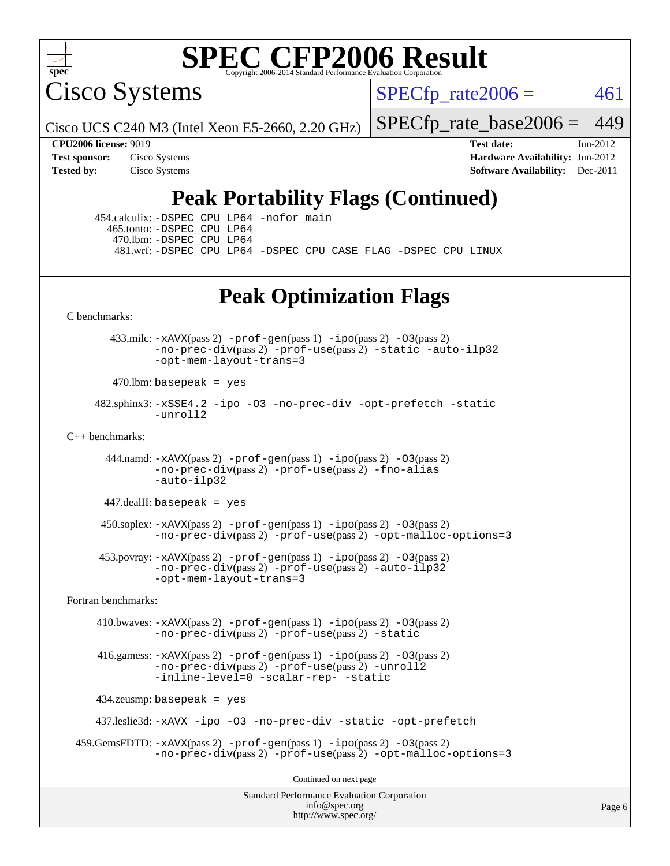

Cisco Systems

 $SPECTp\_rate2006 = 461$ 

Cisco UCS C240 M3 (Intel Xeon E5-2660, 2.20 GHz)

[SPECfp\\_rate\\_base2006 =](http://www.spec.org/auto/cpu2006/Docs/result-fields.html#SPECfpratebase2006) 449

**[CPU2006 license:](http://www.spec.org/auto/cpu2006/Docs/result-fields.html#CPU2006license)** 9019 **[Test date:](http://www.spec.org/auto/cpu2006/Docs/result-fields.html#Testdate)** Jun-2012 **[Test sponsor:](http://www.spec.org/auto/cpu2006/Docs/result-fields.html#Testsponsor)** Cisco Systems **[Hardware Availability:](http://www.spec.org/auto/cpu2006/Docs/result-fields.html#HardwareAvailability)** Jun-2012 **[Tested by:](http://www.spec.org/auto/cpu2006/Docs/result-fields.html#Testedby)** Cisco Systems **[Software Availability:](http://www.spec.org/auto/cpu2006/Docs/result-fields.html#SoftwareAvailability)** Dec-2011

## **[Peak Portability Flags \(Continued\)](http://www.spec.org/auto/cpu2006/Docs/result-fields.html#PeakPortabilityFlags)**

 454.calculix: [-DSPEC\\_CPU\\_LP64](http://www.spec.org/cpu2006/results/res2012q3/cpu2006-20120613-22876.flags.html#suite_peakPORTABILITY454_calculix_DSPEC_CPU_LP64) [-nofor\\_main](http://www.spec.org/cpu2006/results/res2012q3/cpu2006-20120613-22876.flags.html#user_peakLDPORTABILITY454_calculix_f-nofor_main) 465.tonto: [-DSPEC\\_CPU\\_LP64](http://www.spec.org/cpu2006/results/res2012q3/cpu2006-20120613-22876.flags.html#suite_peakPORTABILITY465_tonto_DSPEC_CPU_LP64) 470.lbm: [-DSPEC\\_CPU\\_LP64](http://www.spec.org/cpu2006/results/res2012q3/cpu2006-20120613-22876.flags.html#suite_peakPORTABILITY470_lbm_DSPEC_CPU_LP64) 481.wrf: [-DSPEC\\_CPU\\_LP64](http://www.spec.org/cpu2006/results/res2012q3/cpu2006-20120613-22876.flags.html#suite_peakPORTABILITY481_wrf_DSPEC_CPU_LP64) [-DSPEC\\_CPU\\_CASE\\_FLAG](http://www.spec.org/cpu2006/results/res2012q3/cpu2006-20120613-22876.flags.html#b481.wrf_peakCPORTABILITY_DSPEC_CPU_CASE_FLAG) [-DSPEC\\_CPU\\_LINUX](http://www.spec.org/cpu2006/results/res2012q3/cpu2006-20120613-22876.flags.html#b481.wrf_peakCPORTABILITY_DSPEC_CPU_LINUX)

## **[Peak Optimization Flags](http://www.spec.org/auto/cpu2006/Docs/result-fields.html#PeakOptimizationFlags)**

[C benchmarks](http://www.spec.org/auto/cpu2006/Docs/result-fields.html#Cbenchmarks):

 433.milc: [-xAVX](http://www.spec.org/cpu2006/results/res2012q3/cpu2006-20120613-22876.flags.html#user_peakPASS2_CFLAGSPASS2_LDFLAGS433_milc_f-xAVX)(pass 2) [-prof-gen](http://www.spec.org/cpu2006/results/res2012q3/cpu2006-20120613-22876.flags.html#user_peakPASS1_CFLAGSPASS1_LDFLAGS433_milc_prof_gen_e43856698f6ca7b7e442dfd80e94a8fc)(pass 1) [-ipo](http://www.spec.org/cpu2006/results/res2012q3/cpu2006-20120613-22876.flags.html#user_peakPASS2_CFLAGSPASS2_LDFLAGS433_milc_f-ipo)(pass 2) [-O3](http://www.spec.org/cpu2006/results/res2012q3/cpu2006-20120613-22876.flags.html#user_peakPASS2_CFLAGSPASS2_LDFLAGS433_milc_f-O3)(pass 2) [-no-prec-div](http://www.spec.org/cpu2006/results/res2012q3/cpu2006-20120613-22876.flags.html#user_peakPASS2_CFLAGSPASS2_LDFLAGS433_milc_f-no-prec-div)(pass 2) [-prof-use](http://www.spec.org/cpu2006/results/res2012q3/cpu2006-20120613-22876.flags.html#user_peakPASS2_CFLAGSPASS2_LDFLAGS433_milc_prof_use_bccf7792157ff70d64e32fe3e1250b55)(pass 2) [-static](http://www.spec.org/cpu2006/results/res2012q3/cpu2006-20120613-22876.flags.html#user_peakOPTIMIZE433_milc_f-static) [-auto-ilp32](http://www.spec.org/cpu2006/results/res2012q3/cpu2006-20120613-22876.flags.html#user_peakCOPTIMIZE433_milc_f-auto-ilp32) [-opt-mem-layout-trans=3](http://www.spec.org/cpu2006/results/res2012q3/cpu2006-20120613-22876.flags.html#user_peakCOPTIMIZE433_milc_f-opt-mem-layout-trans_a7b82ad4bd7abf52556d4961a2ae94d5)

 $470$ .lbm: basepeak = yes

 482.sphinx3: [-xSSE4.2](http://www.spec.org/cpu2006/results/res2012q3/cpu2006-20120613-22876.flags.html#user_peakOPTIMIZE482_sphinx3_f-xSSE42_f91528193cf0b216347adb8b939d4107) [-ipo](http://www.spec.org/cpu2006/results/res2012q3/cpu2006-20120613-22876.flags.html#user_peakOPTIMIZE482_sphinx3_f-ipo) [-O3](http://www.spec.org/cpu2006/results/res2012q3/cpu2006-20120613-22876.flags.html#user_peakOPTIMIZE482_sphinx3_f-O3) [-no-prec-div](http://www.spec.org/cpu2006/results/res2012q3/cpu2006-20120613-22876.flags.html#user_peakOPTIMIZE482_sphinx3_f-no-prec-div) [-opt-prefetch](http://www.spec.org/cpu2006/results/res2012q3/cpu2006-20120613-22876.flags.html#user_peakOPTIMIZE482_sphinx3_f-opt-prefetch) [-static](http://www.spec.org/cpu2006/results/res2012q3/cpu2006-20120613-22876.flags.html#user_peakOPTIMIZE482_sphinx3_f-static) [-unroll2](http://www.spec.org/cpu2006/results/res2012q3/cpu2006-20120613-22876.flags.html#user_peakCOPTIMIZE482_sphinx3_f-unroll_784dae83bebfb236979b41d2422d7ec2)

 $C_{++}$  benchmarks:

444.namd:  $-xAVX(pass 2)$  $-xAVX(pass 2)$  [-prof-gen](http://www.spec.org/cpu2006/results/res2012q3/cpu2006-20120613-22876.flags.html#user_peakPASS1_CXXFLAGSPASS1_LDFLAGS444_namd_prof_gen_e43856698f6ca7b7e442dfd80e94a8fc)(pass 1) [-ipo](http://www.spec.org/cpu2006/results/res2012q3/cpu2006-20120613-22876.flags.html#user_peakPASS2_CXXFLAGSPASS2_LDFLAGS444_namd_f-ipo)(pass 2) [-O3](http://www.spec.org/cpu2006/results/res2012q3/cpu2006-20120613-22876.flags.html#user_peakPASS2_CXXFLAGSPASS2_LDFLAGS444_namd_f-O3)(pass 2) [-no-prec-div](http://www.spec.org/cpu2006/results/res2012q3/cpu2006-20120613-22876.flags.html#user_peakPASS2_CXXFLAGSPASS2_LDFLAGS444_namd_f-no-prec-div)(pass 2) [-prof-use](http://www.spec.org/cpu2006/results/res2012q3/cpu2006-20120613-22876.flags.html#user_peakPASS2_CXXFLAGSPASS2_LDFLAGS444_namd_prof_use_bccf7792157ff70d64e32fe3e1250b55)(pass 2) [-fno-alias](http://www.spec.org/cpu2006/results/res2012q3/cpu2006-20120613-22876.flags.html#user_peakCXXOPTIMIZE444_namd_f-no-alias_694e77f6c5a51e658e82ccff53a9e63a) [-auto-ilp32](http://www.spec.org/cpu2006/results/res2012q3/cpu2006-20120613-22876.flags.html#user_peakCXXOPTIMIZE444_namd_f-auto-ilp32)

 $447$ .dealII: basepeak = yes

 $450$ .soplex:  $-x$ AVX(pass 2)  $-p$ rof-gen(pass 1)  $-i$ po(pass 2)  $-03$ (pass 2) [-no-prec-div](http://www.spec.org/cpu2006/results/res2012q3/cpu2006-20120613-22876.flags.html#user_peakPASS2_CXXFLAGSPASS2_LDFLAGS450_soplex_f-no-prec-div)(pass 2) [-prof-use](http://www.spec.org/cpu2006/results/res2012q3/cpu2006-20120613-22876.flags.html#user_peakPASS2_CXXFLAGSPASS2_LDFLAGS450_soplex_prof_use_bccf7792157ff70d64e32fe3e1250b55)(pass 2) [-opt-malloc-options=3](http://www.spec.org/cpu2006/results/res2012q3/cpu2006-20120613-22876.flags.html#user_peakOPTIMIZE450_soplex_f-opt-malloc-options_13ab9b803cf986b4ee62f0a5998c2238)

 453.povray: [-xAVX](http://www.spec.org/cpu2006/results/res2012q3/cpu2006-20120613-22876.flags.html#user_peakPASS2_CXXFLAGSPASS2_LDFLAGS453_povray_f-xAVX)(pass 2) [-prof-gen](http://www.spec.org/cpu2006/results/res2012q3/cpu2006-20120613-22876.flags.html#user_peakPASS1_CXXFLAGSPASS1_LDFLAGS453_povray_prof_gen_e43856698f6ca7b7e442dfd80e94a8fc)(pass 1) [-ipo](http://www.spec.org/cpu2006/results/res2012q3/cpu2006-20120613-22876.flags.html#user_peakPASS2_CXXFLAGSPASS2_LDFLAGS453_povray_f-ipo)(pass 2) [-O3](http://www.spec.org/cpu2006/results/res2012q3/cpu2006-20120613-22876.flags.html#user_peakPASS2_CXXFLAGSPASS2_LDFLAGS453_povray_f-O3)(pass 2) [-no-prec-div](http://www.spec.org/cpu2006/results/res2012q3/cpu2006-20120613-22876.flags.html#user_peakPASS2_CXXFLAGSPASS2_LDFLAGS453_povray_f-no-prec-div)(pass 2) [-prof-use](http://www.spec.org/cpu2006/results/res2012q3/cpu2006-20120613-22876.flags.html#user_peakPASS2_CXXFLAGSPASS2_LDFLAGS453_povray_prof_use_bccf7792157ff70d64e32fe3e1250b55)(pass 2) [-auto-ilp32](http://www.spec.org/cpu2006/results/res2012q3/cpu2006-20120613-22876.flags.html#user_peakCXXOPTIMIZE453_povray_f-auto-ilp32) [-opt-mem-layout-trans=3](http://www.spec.org/cpu2006/results/res2012q3/cpu2006-20120613-22876.flags.html#user_peakCXXOPTIMIZE453_povray_f-opt-mem-layout-trans_a7b82ad4bd7abf52556d4961a2ae94d5)

[Fortran benchmarks](http://www.spec.org/auto/cpu2006/Docs/result-fields.html#Fortranbenchmarks):

 410.bwaves: [-xAVX](http://www.spec.org/cpu2006/results/res2012q3/cpu2006-20120613-22876.flags.html#user_peakPASS2_FFLAGSPASS2_LDFLAGS410_bwaves_f-xAVX)(pass 2) [-prof-gen](http://www.spec.org/cpu2006/results/res2012q3/cpu2006-20120613-22876.flags.html#user_peakPASS1_FFLAGSPASS1_LDFLAGS410_bwaves_prof_gen_e43856698f6ca7b7e442dfd80e94a8fc)(pass 1) [-ipo](http://www.spec.org/cpu2006/results/res2012q3/cpu2006-20120613-22876.flags.html#user_peakPASS2_FFLAGSPASS2_LDFLAGS410_bwaves_f-ipo)(pass 2) [-O3](http://www.spec.org/cpu2006/results/res2012q3/cpu2006-20120613-22876.flags.html#user_peakPASS2_FFLAGSPASS2_LDFLAGS410_bwaves_f-O3)(pass 2) [-no-prec-div](http://www.spec.org/cpu2006/results/res2012q3/cpu2006-20120613-22876.flags.html#user_peakPASS2_FFLAGSPASS2_LDFLAGS410_bwaves_f-no-prec-div)(pass 2) [-prof-use](http://www.spec.org/cpu2006/results/res2012q3/cpu2006-20120613-22876.flags.html#user_peakPASS2_FFLAGSPASS2_LDFLAGS410_bwaves_prof_use_bccf7792157ff70d64e32fe3e1250b55)(pass 2) [-static](http://www.spec.org/cpu2006/results/res2012q3/cpu2006-20120613-22876.flags.html#user_peakOPTIMIZE410_bwaves_f-static)

 416.gamess: [-xAVX](http://www.spec.org/cpu2006/results/res2012q3/cpu2006-20120613-22876.flags.html#user_peakPASS2_FFLAGSPASS2_LDFLAGS416_gamess_f-xAVX)(pass 2) [-prof-gen](http://www.spec.org/cpu2006/results/res2012q3/cpu2006-20120613-22876.flags.html#user_peakPASS1_FFLAGSPASS1_LDFLAGS416_gamess_prof_gen_e43856698f6ca7b7e442dfd80e94a8fc)(pass 1) [-ipo](http://www.spec.org/cpu2006/results/res2012q3/cpu2006-20120613-22876.flags.html#user_peakPASS2_FFLAGSPASS2_LDFLAGS416_gamess_f-ipo)(pass 2) [-O3](http://www.spec.org/cpu2006/results/res2012q3/cpu2006-20120613-22876.flags.html#user_peakPASS2_FFLAGSPASS2_LDFLAGS416_gamess_f-O3)(pass 2) [-no-prec-div](http://www.spec.org/cpu2006/results/res2012q3/cpu2006-20120613-22876.flags.html#user_peakPASS2_FFLAGSPASS2_LDFLAGS416_gamess_f-no-prec-div)(pass 2) [-prof-use](http://www.spec.org/cpu2006/results/res2012q3/cpu2006-20120613-22876.flags.html#user_peakPASS2_FFLAGSPASS2_LDFLAGS416_gamess_prof_use_bccf7792157ff70d64e32fe3e1250b55)(pass 2) [-unroll2](http://www.spec.org/cpu2006/results/res2012q3/cpu2006-20120613-22876.flags.html#user_peakOPTIMIZE416_gamess_f-unroll_784dae83bebfb236979b41d2422d7ec2) [-inline-level=0](http://www.spec.org/cpu2006/results/res2012q3/cpu2006-20120613-22876.flags.html#user_peakOPTIMIZE416_gamess_f-inline-level_318d07a09274ad25e8d15dbfaa68ba50) [-scalar-rep-](http://www.spec.org/cpu2006/results/res2012q3/cpu2006-20120613-22876.flags.html#user_peakOPTIMIZE416_gamess_f-disablescalarrep_abbcad04450fb118e4809c81d83c8a1d) [-static](http://www.spec.org/cpu2006/results/res2012q3/cpu2006-20120613-22876.flags.html#user_peakOPTIMIZE416_gamess_f-static)

434.zeusmp: basepeak = yes

437.leslie3d: [-xAVX](http://www.spec.org/cpu2006/results/res2012q3/cpu2006-20120613-22876.flags.html#user_peakOPTIMIZE437_leslie3d_f-xAVX) [-ipo](http://www.spec.org/cpu2006/results/res2012q3/cpu2006-20120613-22876.flags.html#user_peakOPTIMIZE437_leslie3d_f-ipo) [-O3](http://www.spec.org/cpu2006/results/res2012q3/cpu2006-20120613-22876.flags.html#user_peakOPTIMIZE437_leslie3d_f-O3) [-no-prec-div](http://www.spec.org/cpu2006/results/res2012q3/cpu2006-20120613-22876.flags.html#user_peakOPTIMIZE437_leslie3d_f-no-prec-div) [-static](http://www.spec.org/cpu2006/results/res2012q3/cpu2006-20120613-22876.flags.html#user_peakOPTIMIZE437_leslie3d_f-static) [-opt-prefetch](http://www.spec.org/cpu2006/results/res2012q3/cpu2006-20120613-22876.flags.html#user_peakOPTIMIZE437_leslie3d_f-opt-prefetch)

```
 459.GemsFDTD: -xAVX(pass 2) -prof-gen(pass 1) -ipo(pass 2) -O3(pass 2)
  -no-prec-div(pass 2) -prof-use(pass 2) -opt-malloc-options=3
```
Continued on next page